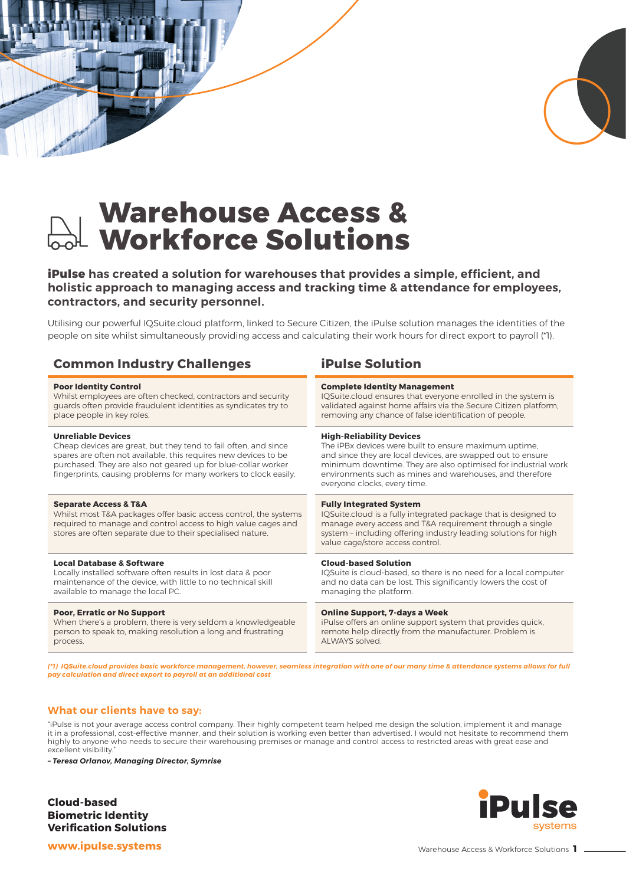

# **Warehouse Access & Workforce Solutions**

**iPulse has created a solution for warehouses that provides a simple, efficient, and holistic approach to managing access and tracking time & attendance for employees, contractors, and security personnel.** 

Utilising our powerful IQSuite.cloud platform, linked to Secure Citizen, the iPulse solution manages the identities of the people on site whilst simultaneously providing access and calculating their work hours for direct export to payroll (\*1).

# **Common Industry Challenges iPulse Solution**

#### **Poor Identity Control**

Whilst employees are often checked, contractors and security guards often provide fraudulent identities as syndicates try to place people in key roles.

#### **Unreliable Devices**

Cheap devices are great, but they tend to fail often, and since spares are often not available, this requires new devices to be purchased. They are also not geared up for blue-collar worker fingerprints, causing problems for many workers to clock easily.

#### **Separate Access & T&A**

Whilst most T&A packages offer basic access control, the systems required to manage and control access to high value cages and stores are often separate due to their specialised nature.

#### **Local Database & Software**

Locally installed software often results in lost data & poor maintenance of the device, with little to no technical skill available to manage the local PC.

#### **Poor, Erratic or No Support**

When there's a problem, there is very seldom a knowledgeable person to speak to, making resolution a long and frustrating process.

#### **Complete Identity Management**

IQSuite.cloud ensures that everyone enrolled in the system is validated against home affairs via the Secure Citizen platform, removing any chance of false identification of people.

#### **High-Reliability Devices**

The iPBx devices were built to ensure maximum uptime, and since they are local devices, are swapped out to ensure minimum downtime. They are also optimised for industrial work environments such as mines and warehouses, and therefore everyone clocks, every time.

#### **Fully Integrated System**

IQSuite.cloud is a fully integrated package that is designed to manage every access and T&A requirement through a single system – including offering industry leading solutions for high value cage/store access control.

#### **Cloud-based Solution**

IQSuite is cloud-based, so there is no need for a local computer and no data can be lost. This significantly lowers the cost of managing the platform.

#### **Online Support, 7-days a Week**

iPulse offers an online support system that provides quick, remote help directly from the manufacturer. Problem is ALWAYS solved.

*(\*1) IQSuite.cloud provides basic workforce management, however, seamless integration with one of our many time & attendance systems allows for full pay calculation and direct export to payroll at an additional cost*

### **What our clients have to say:**

"iPulse is not your average access control company. Their highly competent team helped me design the solution, implement it and manage it in a professional, cost-effective manner, and their solution is working even better than advertised. I would not hesitate to recommend them highly to anyone who needs to secure their warehousing premises or manage and control access to restricted areas with great ease and excellent visibility

*– Teresa Orlanov, Managing Director, Symrise*

**Cloud-based Biometric Identity Verification Solutions**



**www.ipulse.systems**